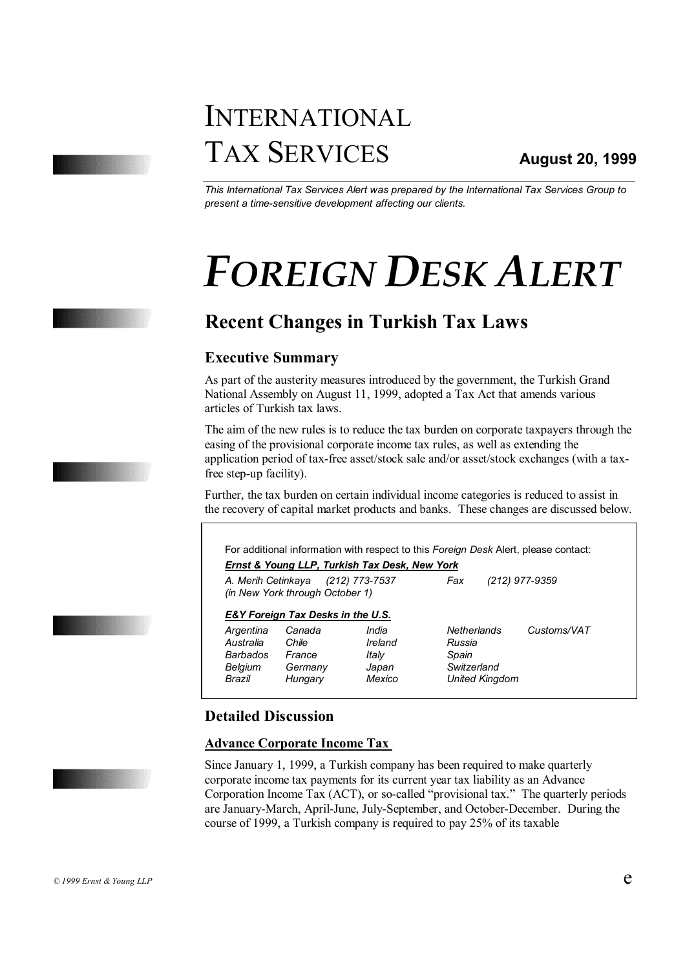# INTERNATIONAL TAX SERVICES

*This International Tax Services Alert was prepared by the International Tax Services Group to present a time-sensitive development affecting our clients.*

# *FOREIGN DESK ALERT*

# **Recent Changes in Turkish Tax Laws**

# **Executive Summary**

As part of the austerity measures introduced by the government, the Turkish Grand National Assembly on August 11, 1999, adopted a Tax Act that amends various articles of Turkish tax laws.

The aim of the new rules is to reduce the tax burden on corporate taxpayers through the easing of the provisional corporate income tax rules, as well as extending the application period of tax-free asset/stock sale and/or asset/stock exchanges (with a taxfree step-up facility).

Further, the tax burden on certain individual income categories is reduced to assist in the recovery of capital market products and banks. These changes are discussed below.

For additional information with respect to this *Foreign Desk* Alert, please contact: *Ernst & Young LLP, Turkish Tax Desk, New York*

*A. Merih Cetinkaya (212) 773-7537 Fax (212) 977-9359 (in New York through October 1)* 

### *E&Y Foreign Tax Desks in the U.S.*

*Argentina Canada India Netherlands Customs/VAT Australia Chile Ireland Russia Barbados France Italy Spain Belgium Germany Japan Switzerland Brazil Hungary Mexico United Kingdom* 

# **Detailed Discussion**

# **Advance Corporate Income Tax**

Since January 1, 1999, a Turkish company has been required to make quarterly corporate income tax payments for its current year tax liability as an Advance Corporation Income Tax (ACT), or so-called "provisional tax." The quarterly periods are January-March, April-June, July-September, and October-December. During the course of 1999, a Turkish company is required to pay 25% of its taxable









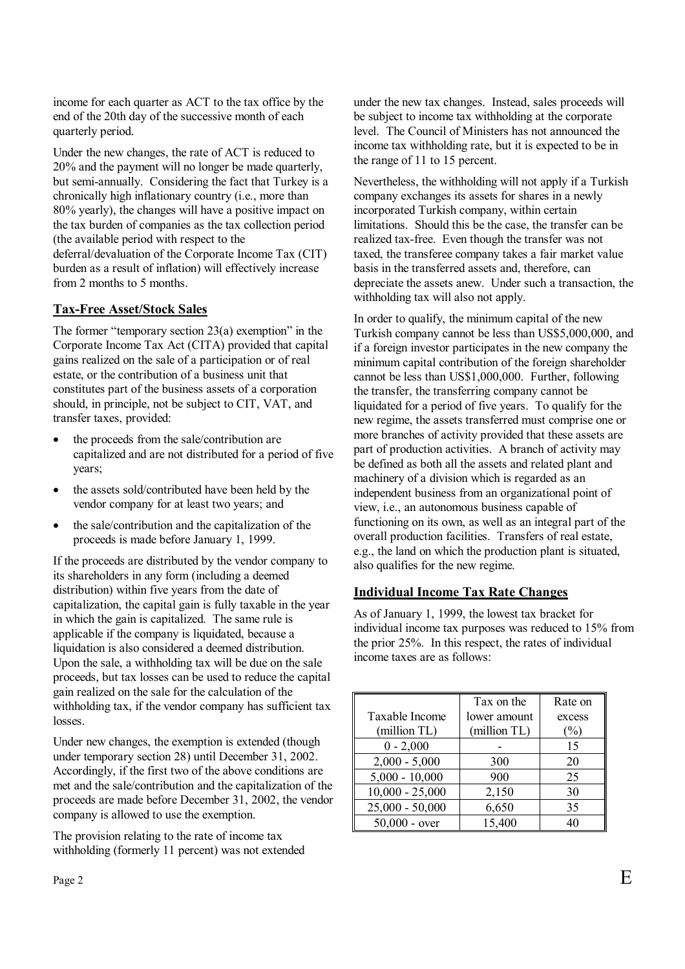income for each quarter as ACT to the tax office by the end of the 20th day of the successive month of each quarterly period.

Under the new changes, the rate of ACT is reduced to 20% and the payment will no longer be made quarterly, but semi-annually. Considering the fact that Turkey is a chronically high inflationary country (i.e., more than 80% yearly), the changes will have a positive impact on the tax burden of companies as the tax collection period (the available period with respect to the deferral/devaluation of the Corporate Income Tax (CIT) burden as a result of inflation) will effectively increase from 2 months to 5 months.

### **Tax-Free Asset/Stock Sales**

The former "temporary section 23(a) exemption" in the Corporate Income Tax Act (CITA) provided that capital gains realized on the sale of a participation or of real estate, or the contribution of a business unit that constitutes part of the business assets of a corporation should, in principle, not be subject to CIT, VAT, and transfer taxes, provided:

- the proceeds from the sale/contribution are capitalized and are not distributed for a period of five years;
- the assets sold/contributed have been held by the vendor company for at least two years; and
- the sale/contribution and the capitalization of the proceeds is made before January 1, 1999.

If the proceeds are distributed by the vendor company to its shareholders in any form (including a deemed distribution) within five years from the date of capitalization, the capital gain is fully taxable in the year in which the gain is capitalized. The same rule is applicable if the company is liquidated, because a liquidation is also considered a deemed distribution. Upon the sale, a withholding tax will be due on the sale proceeds, but tax losses can be used to reduce the capital gain realized on the sale for the calculation of the withholding tax, if the vendor company has sufficient tax losses.

Under new changes, the exemption is extended (though under temporary section 28) until December 31, 2002. Accordingly, if the first two of the above conditions are met and the sale/contribution and the capitalization of the proceeds are made before December 31, 2002, the vendor company is allowed to use the exemption.

The provision relating to the rate of income tax withholding (formerly 11 percent) was not extended

under the new tax changes. Instead, sales proceeds will be subject to income tax withholding at the corporate level. The Council of Ministers has not announced the income tax withholding rate, but it is expected to be in the range of 11 to 15 percent.

Nevertheless, the withholding will not apply if a Turkish company exchanges its assets for shares in a newly incorporated Turkish company, within certain limitations. Should this be the case, the transfer can be realized tax-free. Even though the transfer was not taxed, the transferee company takes a fair market value basis in the transferred assets and, therefore, can depreciate the assets anew. Under such a transaction, the withholding tax will also not apply.

In order to qualify, the minimum capital of the new Turkish company cannot be less than US\$5,000,000, and if a foreign investor participates in the new company the minimum capital contribution of the foreign shareholder cannot be less than US\$1,000,000. Further, following the transfer, the transferring company cannot be liquidated for a period of five years. To qualify for the new regime, the assets transferred must comprise one or more branches of activity provided that these assets are part of production activities. A branch of activity may be defined as both all the assets and related plant and machinery of a division which is regarded as an independent business from an organizational point of view, i.e., an autonomous business capable of functioning on its own, as well as an integral part of the overall production facilities. Transfers of real estate, e.g., the land on which the production plant is situated, also qualifies for the new regime.

# **Individual Income Tax Rate Changes**

As of January 1, 1999, the lowest tax bracket for individual income tax purposes was reduced to 15% from the prior 25%. In this respect, the rates of individual income taxes are as follows:

|                   | Tax on the   | Rate on       |
|-------------------|--------------|---------------|
| Taxable Income    | lower amount | excess        |
| (million TL)      | (million TL) | $\frac{6}{2}$ |
| $0 - 2,000$       |              | 15            |
| $2,000 - 5,000$   | 300          | 20            |
| $5,000 - 10,000$  | 900          | 25            |
| $10,000 - 25,000$ | 2,150        | 30            |
| $25,000 - 50,000$ | 6,650        | 35            |
| $50,000 - over$   | 15,400       | 40            |